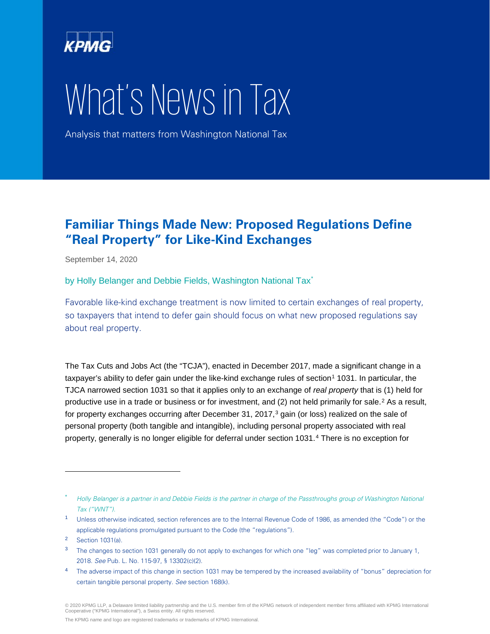

# What's News in Tax

Analysis that matters from Washington National Tax

## **Familiar Things Made New: Proposed Regulations Define "Real Property" for Like-Kind Exchanges**

September 14, 2020

by Holly Belanger and Debbie Fields, Washington National Tax<sup>[\\*](#page-0-0)</sup>

Favorable like-kind exchange treatment is now limited to certain exchanges of real property, so taxpayers that intend to defer gain should focus on what new proposed regulations say about real property.

The Tax Cuts and Jobs Act (the "TCJA"), enacted in December 2017, made a significant change in a taxpayer's ability to defer gain under the like-kind exchange rules of section<sup>[1](#page-0-1)</sup> 1031. In particular, the TJCA narrowed section 1031 so that it applies only to an exchange of *real property* that is (1) held for productive use in a trade or business or for investment, and ([2](#page-0-2)) not held primarily for sale.<sup>2</sup> As a result, for property exchanges occurring after December [3](#page-0-3)1, 2017, $3$  gain (or loss) realized on the sale of personal property (both tangible and intangible), including personal property associated with real property, generally is no longer eligible for deferral under section 1031.[4](#page-0-4) There is no exception for

-

<span id="page-0-0"></span>Holly Belanger is a partner in and Debbie Fields is the partner in charge of the Passthroughs group of Washington National Tax ("WNT").

<span id="page-0-1"></span><sup>1</sup> Unless otherwise indicated, section references are to the Internal Revenue Code of 1986, as amended (the "Code") or the applicable regulations promulgated pursuant to the Code (the "regulations").

<span id="page-0-2"></span><sup>2</sup> Section 1031(a).

<span id="page-0-3"></span><sup>&</sup>lt;sup>3</sup> The changes to section 1031 generally do not apply to exchanges for which one "leg" was completed prior to January 1, 2018. See Pub. L. No. 115-97, § 13302(c)(2).

<span id="page-0-4"></span><sup>&</sup>lt;sup>4</sup> The adverse impact of this change in section 1031 may be tempered by the increased availability of "bonus" depreciation for certain tangible personal property. See section 168(k).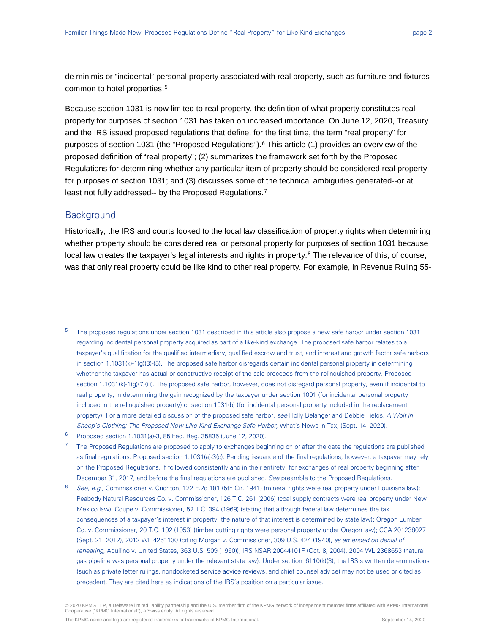de minimis or "incidental" personal property associated with real property, such as furniture and fixtures common to hotel properties.<sup>[5](#page-1-0)</sup>

Because section 1031 is now limited to real property, the definition of what property constitutes real property for purposes of section 1031 has taken on increased importance. On June 12, 2020, Treasury and the IRS issued proposed regulations that define, for the first time, the term "real property" for purposes of section 1031 (the "Proposed Regulations").<sup>[6](#page-1-1)</sup> This article (1) provides an overview of the proposed definition of "real property"; (2) summarizes the framework set forth by the Proposed Regulations for determining whether any particular item of property should be considered real property for purposes of section 1031; and (3) discusses some of the technical ambiguities generated--or at least not fully addressed-- by the Proposed Regulations.[7](#page-1-2)

#### **Background**

-

Historically, the IRS and courts looked to the local law classification of property rights when determining whether property should be considered real or personal property for purposes of section 1031 because local law creates the taxpayer's legal interests and rights in property.<sup>[8](#page-1-3)</sup> The relevance of this, of course, was that only real property could be like kind to other real property. For example, in Revenue Ruling 55-

<span id="page-1-0"></span><sup>5</sup> The proposed regulations under section 1031 described in this article also propose a new safe harbor under section 1031 regarding incidental personal property acquired as part of a like-kind exchange. The proposed safe harbor relates to a taxpayer's qualification for the qualified intermediary, qualified escrow and trust, and interest and growth factor safe harbors in section 1.1031(k)-1(g)(3)-(5). The proposed safe harbor disregards certain incidental personal property in determining whether the taxpayer has actual or constructive receipt of the sale proceeds from the relinquished property. Proposed section 1.1031(k)-1(g)(7)(iii). The proposed safe harbor, however, does not disregard personal property, even if incidental to real property, in determining the gain recognized by the taxpayer under section 1001 (for incidental personal property included in the relinquished property) or section 1031(b) (for incidental personal property included in the replacement property). For a more detailed discussion of the proposed safe harbor, see Holly Belanger and Debbie Fields, A Wolf in Sheep's Clothing: The Proposed New Like-Kind Exchange Safe Harbor, What's News in Tax, (Sept. 14. 2020).

<span id="page-1-1"></span><sup>6</sup> Proposed section 1.1031(a)-3, 85 Fed. Reg. 35835 (June 12, 2020).

<span id="page-1-2"></span><sup>&</sup>lt;sup>7</sup> The Proposed Regulations are proposed to apply to exchanges beginning on or after the date the regulations are published as final regulations. Proposed section 1.1031(a)-3(c). Pending issuance of the final regulations, however, a taxpayer may rely on the Proposed Regulations, if followed consistently and in their entirety, for exchanges of real property beginning after December 31, 2017, and before the final regulations are published. See preamble to the Proposed Regulations.

<span id="page-1-3"></span><sup>8</sup> See, e.g., Commissioner v. Crichton, 122 F.2d 181 (5th Cir. 1941) (mineral rights were real property under Louisiana law); Peabody Natural Resources Co. v. Commissioner, 126 T.C. 261 (2006) (coal supply contracts were real property under New Mexico law); Coupe v. Commissioner, 52 T.C. 394 (1969) (stating that although federal law determines the tax consequences of a taxpayer's interest in property, the nature of that interest is determined by state law); Oregon Lumber Co. v. Commissioner, 20 T.C. 192 (1953) (timber cutting rights were personal property under Oregon law); CCA 201238027 (Sept. 21, 2012), 2012 WL 4261130 (citing Morgan v. Commissioner, 309 U.S. 424 (1940), as amended on denial of rehearing, Aquilino v. United States, 363 U.S. 509 (1960)); IRS NSAR 20044101F (Oct. 8, 2004), 2004 WL 2368653 (natural gas pipeline was personal property under the relevant state law). Under section 6110(k)(3), the IRS's written determinations (such as private letter rulings, nondocketed service advice reviews, and chief counsel advice) may not be used or cited as precedent. They are cited here as indications of the IRS's position on a particular issue.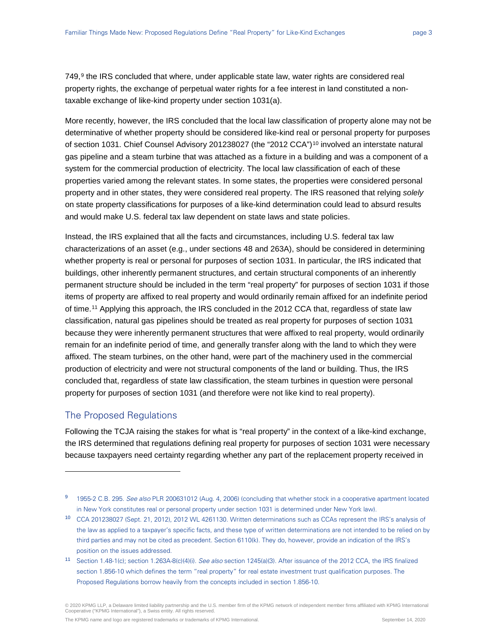$749$  $749$ , $9$  the IRS concluded that where, under applicable state law, water rights are considered real property rights, the exchange of perpetual water rights for a fee interest in land constituted a nontaxable exchange of like-kind property under section 1031(a).

More recently, however, the IRS concluded that the local law classification of property alone may not be determinative of whether property should be considered like-kind real or personal property for purposes of section [10](#page-2-1)31. Chief Counsel Advisory 201238027 (the "2012 CCA")<sup>10</sup> involved an interstate natural gas pipeline and a steam turbine that was attached as a fixture in a building and was a component of a system for the commercial production of electricity. The local law classification of each of these properties varied among the relevant states. In some states, the properties were considered personal property and in other states, they were considered real property. The IRS reasoned that relying *solely* on state property classifications for purposes of a like-kind determination could lead to absurd results and would make U.S. federal tax law dependent on state laws and state policies.

Instead, the IRS explained that all the facts and circumstances, including U.S. federal tax law characterizations of an asset (e.g., under sections 48 and 263A), should be considered in determining whether property is real or personal for purposes of section 1031. In particular, the IRS indicated that buildings, other inherently permanent structures, and certain structural components of an inherently permanent structure should be included in the term "real property" for purposes of section 1031 if those items of property are affixed to real property and would ordinarily remain affixed for an indefinite period of time.[11](#page-2-2) Applying this approach, the IRS concluded in the 2012 CCA that, regardless of state law classification, natural gas pipelines should be treated as real property for purposes of section 1031 because they were inherently permanent structures that were affixed to real property, would ordinarily remain for an indefinite period of time, and generally transfer along with the land to which they were affixed. The steam turbines, on the other hand, were part of the machinery used in the commercial production of electricity and were not structural components of the land or building. Thus, the IRS concluded that, regardless of state law classification, the steam turbines in question were personal property for purposes of section 1031 (and therefore were not like kind to real property).

### The Proposed Regulations

-

Following the TCJA raising the stakes for what is "real property" in the context of a like-kind exchange, the IRS determined that regulations defining real property for purposes of section 1031 were necessary because taxpayers need certainty regarding whether any part of the replacement property received in

<span id="page-2-0"></span><sup>&</sup>lt;sup>9</sup> 1955-2 C.B. 295. See also PLR 200631012 (Aug. 4, 2006) (concluding that whether stock in a cooperative apartment located in New York constitutes real or personal property under section 1031 is determined under New York law).

<span id="page-2-1"></span><sup>10</sup> CCA 201238027 (Sept. 21, 2012), 2012 WL 4261130. Written determinations such as CCAs represent the IRS's analysis of the law as applied to a taxpayer's specific facts, and these type of written determinations are not intended to be relied on by third parties and may not be cited as precedent. Section 6110(k). They do, however, provide an indication of the IRS's position on the issues addressed.

<span id="page-2-2"></span><sup>11</sup> Section 1.48-1(c); section 1.263A-8(c)(4)(i). See also section 1245(a)(3). After issuance of the 2012 CCA, the IRS finalized section 1.856-10 which defines the term "real property" for real estate investment trust qualification purposes. The Proposed Regulations borrow heavily from the concepts included in section 1.856-10.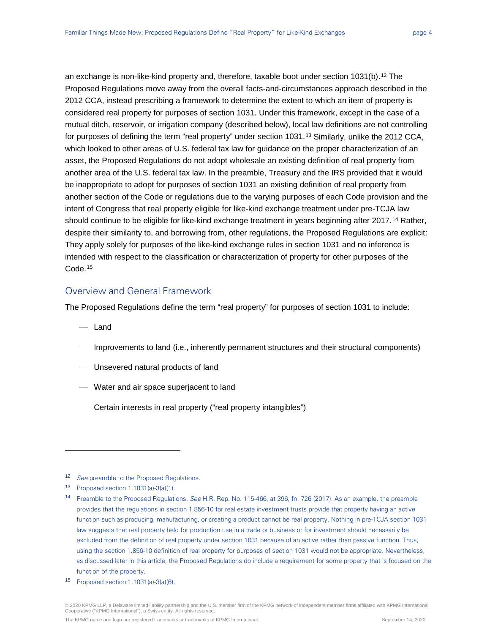an exchange is non-like-kind property and, therefore, taxable boot under section 1031(b).<sup>[12](#page-3-0)</sup> The Proposed Regulations move away from the overall facts-and-circumstances approach described in the 2012 CCA, instead prescribing a framework to determine the extent to which an item of property is considered real property for purposes of section 1031. Under this framework, except in the case of a mutual ditch, reservoir, or irrigation company (described below), local law definitions are not controlling for purposes of defining the term "real property" under section 1031.<sup>[13](#page-3-1)</sup> Similarly, unlike the 2012 CCA, which looked to other areas of U.S. federal tax law for guidance on the proper characterization of an asset, the Proposed Regulations do not adopt wholesale an existing definition of real property from another area of the U.S. federal tax law. In the preamble, Treasury and the IRS provided that it would be inappropriate to adopt for purposes of section 1031 an existing definition of real property from another section of the Code or regulations due to the varying purposes of each Code provision and the intent of Congress that real property eligible for like-kind exchange treatment under pre-TCJA law should continue to be eligible for like-kind exchange treatment in years beginning after 2017.<sup>[14](#page-3-2)</sup> Rather, despite their similarity to, and borrowing from, other regulations, the Proposed Regulations are explicit: They apply solely for purposes of the like-kind exchange rules in section 1031 and no inference is intended with respect to the classification or characterization of property for other purposes of the Code.<sup>[15](#page-3-3)</sup>

#### Overview and General Framework

The Proposed Regulations define the term "real property" for purposes of section 1031 to include:

Land

-

- Improvements to land (i.e., inherently permanent structures and their structural components)
- Unsevered natural products of land
- Water and air space superjacent to land
- Certain interests in real property ("real property intangibles")

<span id="page-3-0"></span><sup>&</sup>lt;sup>12</sup> See preamble to the Proposed Regulations.

<span id="page-3-1"></span><sup>13</sup> Proposed section 1.1031(a)-3(a)(1).

<span id="page-3-2"></span><sup>14</sup> Preamble to the Proposed Regulations. See H.R. Rep. No. 115-466, at 396, fn. 726 (2017). As an example, the preamble provides that the regulations in section 1.856-10 for real estate investment trusts provide that property having an active function such as producing, manufacturing, or creating a product cannot be real property. Nothing in pre-TCJA section 1031 law suggests that real property held for production use in a trade or business or for investment should necessarily be excluded from the definition of real property under section 1031 because of an active rather than passive function. Thus, using the section 1.856-10 definition of real property for purposes of section 1031 would not be appropriate. Nevertheless, as discussed later in this article, the Proposed Regulations do include a requirement for some property that is focused on the function of the property.

<span id="page-3-3"></span><sup>15</sup> Proposed section 1.1031(a)-3(a)(6).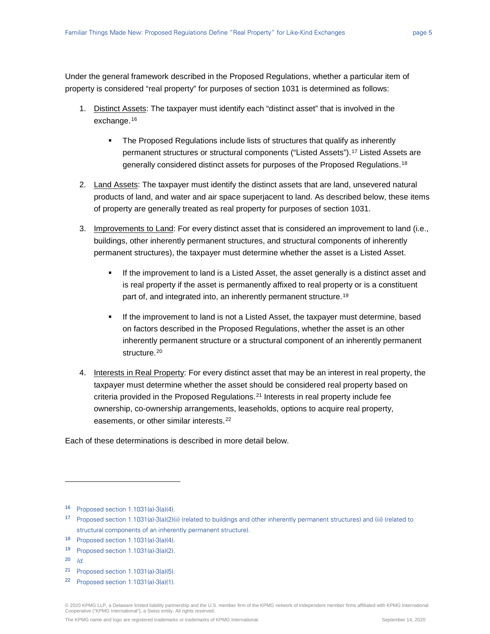Under the general framework described in the Proposed Regulations, whether a particular item of property is considered "real property" for purposes of section 1031 is determined as follows:

- 1. Distinct Assets: The taxpayer must identify each "distinct asset" that is involved in the exchange.[16](#page-4-0)
	- The Proposed Regulations include lists of structures that qualify as inherently permanent structures or structural components ("Listed Assets").[17](#page-4-1) Listed Assets are generally considered distinct assets for purposes of the Proposed Regulations.[18](#page-4-2)
- 2. Land Assets: The taxpayer must identify the distinct assets that are land, unsevered natural products of land, and water and air space superjacent to land. As described below, these items of property are generally treated as real property for purposes of section 1031.
- 3. Improvements to Land: For every distinct asset that is considered an improvement to land (i.e., buildings, other inherently permanent structures, and structural components of inherently permanent structures), the taxpayer must determine whether the asset is a Listed Asset.
	- If the improvement to land is a Listed Asset, the asset generally is a distinct asset and is real property if the asset is permanently affixed to real property or is a constituent part of, and integrated into, an inherently permanent structure.<sup>[19](#page-4-3)</sup>
	- If the improvement to land is not a Listed Asset, the taxpayer must determine, based on factors described in the Proposed Regulations, whether the asset is an other inherently permanent structure or a structural component of an inherently permanent structure.<sup>[20](#page-4-4)</sup>
- 4. Interests in Real Property: For every distinct asset that may be an interest in real property, the taxpayer must determine whether the asset should be considered real property based on criteria provided in the Proposed Regulations.[21](#page-4-5) Interests in real property include fee ownership, co-ownership arrangements, leaseholds, options to acquire real property, easements, or other similar interests.<sup>[22](#page-4-6)</sup>

Each of these determinations is described in more detail below.

-

© 2020 KPMG LLP, a Delaware limited liability partnership and the U.S. member firm of the KPMG network of independent member firms affiliated with KPMG International<br>Cooperative ("KPMG International"), a Swiss entity. All

<span id="page-4-0"></span><sup>16</sup> Proposed section 1.1031(a)-3(a)(4).

<span id="page-4-1"></span><sup>17</sup> Proposed section 1.1031(a)-3(a)(2)(ii) (related to buildings and other inherently permanent structures) and (iii) (related to structural components of an inherently permanent structure).

<span id="page-4-2"></span><sup>18</sup> Proposed section 1.1031(a)-3(a)(4).

<span id="page-4-3"></span><sup>19</sup> Proposed section 1.1031(a)-3(a)(2).

<span id="page-4-4"></span> $20$  *Id.* 

<span id="page-4-6"></span><span id="page-4-5"></span><sup>21</sup> Proposed section 1.1031(a)-3(a)(5).

<sup>22</sup> Proposed section 1.1031(a)-3(a)(1).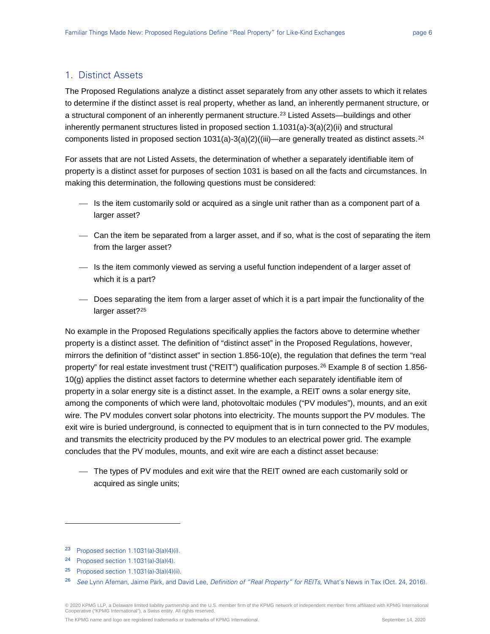#### 1. Distinct Assets

The Proposed Regulations analyze a distinct asset separately from any other assets to which it relates to determine if the distinct asset is real property, whether as land, an inherently permanent structure, or a structural component of an inherently permanent structure.<sup>[23](#page-5-0)</sup> Listed Assets—buildings and other inherently permanent structures listed in proposed section 1.1031(a)-3(a)(2)(ii) and structural components listed in proposed section 1031(a)-3(a)(2)((iii)—are generally treated as distinct assets.<sup>[24](#page-5-1)</sup>

For assets that are not Listed Assets, the determination of whether a separately identifiable item of property is a distinct asset for purposes of section 1031 is based on all the facts and circumstances. In making this determination, the following questions must be considered:

- $\equiv$  Is the item customarily sold or acquired as a single unit rather than as a component part of a larger asset?
- Can the item be separated from a larger asset, and if so, what is the cost of separating the item from the larger asset?
- $-$  Is the item commonly viewed as serving a useful function independent of a larger asset of which it is a part?
- Does separating the item from a larger asset of which it is a part impair the functionality of the larger asset?<sup>[25](#page-5-2)</sup>

No example in the Proposed Regulations specifically applies the factors above to determine whether property is a distinct asset. The definition of "distinct asset" in the Proposed Regulations, however, mirrors the definition of "distinct asset" in section 1.856-10(e), the regulation that defines the term "real property" for real estate investment trust ("REIT") qualification purposes.[26](#page-5-3) Example 8 of section 1.856- 10(g) applies the distinct asset factors to determine whether each separately identifiable item of property in a solar energy site is a distinct asset. In the example, a REIT owns a solar energy site, among the components of which were land, photovoltaic modules ("PV modules"), mounts, and an exit wire. The PV modules convert solar photons into electricity. The mounts support the PV modules. The exit wire is buried underground, is connected to equipment that is in turn connected to the PV modules, and transmits the electricity produced by the PV modules to an electrical power grid. The example concludes that the PV modules, mounts, and exit wire are each a distinct asset because:

- The types of PV modules and exit wire that the REIT owned are each customarily sold or acquired as single units;
- <span id="page-5-0"></span><sup>23</sup> Proposed section 1.1031(a)-3(a)(4)(i).
- <span id="page-5-1"></span><sup>24</sup> Proposed section 1.1031(a)-3(a)(4).

-

- <span id="page-5-2"></span><sup>25</sup> Proposed section 1.1031(a)-3(a)(4)(ii).
- <span id="page-5-3"></span><sup>26</sup> See Lynn Afeman, Jaime Park, and David Lee, Definition of "Real Property" for REITs, What's News in Tax (Oct. 24, 2016).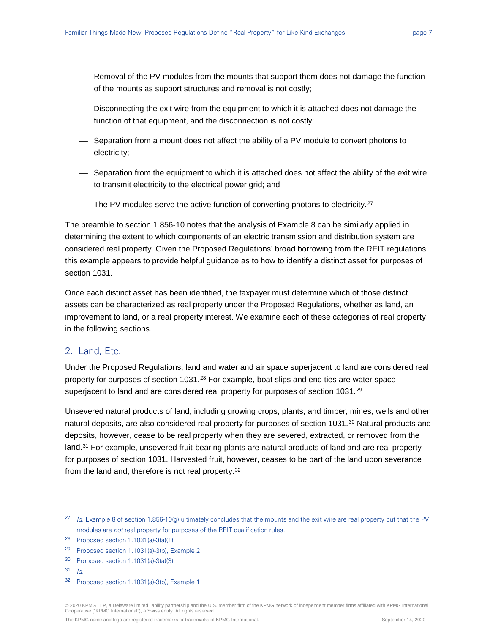- Removal of the PV modules from the mounts that support them does not damage the function of the mounts as support structures and removal is not costly;
- Disconnecting the exit wire from the equipment to which it is attached does not damage the function of that equipment, and the disconnection is not costly;
- Separation from a mount does not affect the ability of a PV module to convert photons to electricity;
- Separation from the equipment to which it is attached does not affect the ability of the exit wire to transmit electricity to the electrical power grid; and
- $\overline{P}$  The PV modules serve the active function of converting photons to electricity.<sup>[27](#page-6-0)</sup>

The preamble to section 1.856-10 notes that the analysis of Example 8 can be similarly applied in determining the extent to which components of an electric transmission and distribution system are considered real property. Given the Proposed Regulations' broad borrowing from the REIT regulations, this example appears to provide helpful guidance as to how to identify a distinct asset for purposes of section 1031.

Once each distinct asset has been identified, the taxpayer must determine which of those distinct assets can be characterized as real property under the Proposed Regulations, whether as land, an improvement to land, or a real property interest. We examine each of these categories of real property in the following sections.

#### 2. Land, Etc.

Under the Proposed Regulations, land and water and air space superjacent to land are considered real property for purposes of section 1031.[28](#page-6-1) For example, boat slips and end ties are water space superjacent to land and are considered real property for purposes of section 1031.<sup>[29](#page-6-2)</sup>

Unsevered natural products of land, including growing crops, plants, and timber; mines; wells and other natural deposits, are also considered real property for purposes of section 1031.<sup>[30](#page-6-3)</sup> Natural products and deposits, however, cease to be real property when they are severed, extracted, or removed from the land.<sup>[31](#page-6-4)</sup> For example, unsevered fruit-bearing plants are natural products of land and are real property for purposes of section 1031. Harvested fruit, however, ceases to be part of the land upon severance from the land and, therefore is not real property.<sup>[32](#page-6-5)</sup>

<span id="page-6-4"></span> $31$  *Id.* 

-

© 2020 KPMG LLP, a Delaware limited liability partnership and the U.S. member firm of the KPMG network of independent member firms affiliated with KPMG International<br>Cooperative ("KPMG International"), a Swiss entity. All

<span id="page-6-0"></span><sup>&</sup>lt;sup>27</sup> Id. Example 8 of section 1.856-10(g) ultimately concludes that the mounts and the exit wire are real property but that the PV modules are not real property for purposes of the REIT qualification rules.

<span id="page-6-1"></span><sup>28</sup> Proposed section 1.1031(a)-3(a)(1).

<span id="page-6-2"></span><sup>29</sup> Proposed section 1.1031(a)-3(b), Example 2.

<span id="page-6-3"></span><sup>30</sup> Proposed section 1.1031(a)-3(a)(3).

<span id="page-6-5"></span><sup>32</sup> Proposed section 1.1031(a)-3(b), Example 1.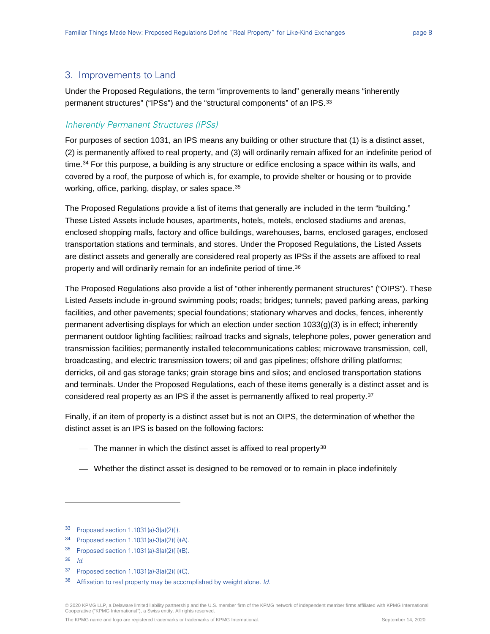#### 3. Improvements to Land

Under the Proposed Regulations, the term "improvements to land" generally means "inherently permanent structures" ("IPSs") and the "structural components" of an IPS.<sup>[33](#page-7-0)</sup>

#### Inherently Permanent Structures (IPSs)

For purposes of section 1031, an IPS means any building or other structure that (1) is a distinct asset, (2) is permanently affixed to real property, and (3) will ordinarily remain affixed for an indefinite period of time.<sup>[34](#page-7-1)</sup> For this purpose, a building is any structure or edifice enclosing a space within its walls, and covered by a roof, the purpose of which is, for example, to provide shelter or housing or to provide working, office, parking, display, or sales space. [35](#page-7-2)

The Proposed Regulations provide a list of items that generally are included in the term "building." These Listed Assets include houses, apartments, hotels, motels, enclosed stadiums and arenas, enclosed shopping malls, factory and office buildings, warehouses, barns, enclosed garages, enclosed transportation stations and terminals, and stores. Under the Proposed Regulations, the Listed Assets are distinct assets and generally are considered real property as IPSs if the assets are affixed to real property and will ordinarily remain for an indefinite period of time.<sup>[36](#page-7-3)</sup>

The Proposed Regulations also provide a list of "other inherently permanent structures" ("OIPS"). These Listed Assets include in-ground swimming pools; roads; bridges; tunnels; paved parking areas, parking facilities, and other pavements; special foundations; stationary wharves and docks, fences, inherently permanent advertising displays for which an election under section 1033(g)(3) is in effect; inherently permanent outdoor lighting facilities; railroad tracks and signals, telephone poles, power generation and transmission facilities; permanently installed telecommunications cables; microwave transmission, cell, broadcasting, and electric transmission towers; oil and gas pipelines; offshore drilling platforms; derricks, oil and gas storage tanks; grain storage bins and silos; and enclosed transportation stations and terminals. Under the Proposed Regulations, each of these items generally is a distinct asset and is considered real property as an IPS if the asset is permanently affixed to real property.<sup>[37](#page-7-4)</sup>

Finally, if an item of property is a distinct asset but is not an OIPS, the determination of whether the distinct asset is an IPS is based on the following factors:

- $-$  The manner in which the distinct asset is affixed to real property<sup>[38](#page-7-5)</sup>
- Whether the distinct asset is designed to be removed or to remain in place indefinitely

<span id="page-7-3"></span> $36$  *Id.* 

-

© 2020 KPMG LLP, a Delaware limited liability partnership and the U.S. member firm of the KPMG network of independent member firms affiliated with KPMG International Cooperative ("KPMG International"), a Swiss entity. All rights reserved.

<span id="page-7-0"></span><sup>33</sup> Proposed section 1.1031(a)-3(a)(2)(i).

<span id="page-7-1"></span><sup>34</sup> Proposed section 1.1031(a)-3(a)(2)(ii)(A).

<span id="page-7-2"></span><sup>35</sup> Proposed section 1.1031(a)-3(a)(2)(ii)(B).

<span id="page-7-4"></span><sup>37</sup> Proposed section 1.1031(a)-3(a)(2)(ii)(C).

<span id="page-7-5"></span> $38$  Affixation to real property may be accomplished by weight alone. Id.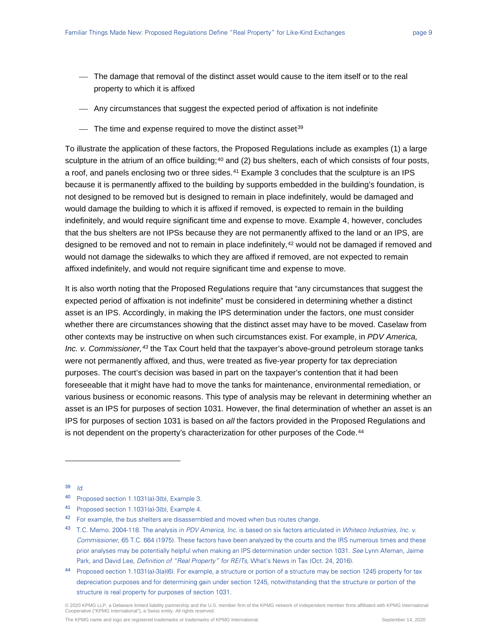- The damage that removal of the distinct asset would cause to the item itself or to the real property to which it is affixed
- Any circumstances that suggest the expected period of affixation is not indefinite
- $\mu$  The time and expense required to move the distinct asset<sup>[39](#page-8-0)</sup>

To illustrate the application of these factors, the Proposed Regulations include as examples (1) a large sculpture in the atrium of an office building;<sup>[40](#page-8-1)</sup> and (2) bus shelters, each of which consists of four posts, a roof, and panels enclosing two or three sides.<sup>[41](#page-8-2)</sup> Example 3 concludes that the sculpture is an IPS because it is permanently affixed to the building by supports embedded in the building's foundation, is not designed to be removed but is designed to remain in place indefinitely, would be damaged and would damage the building to which it is affixed if removed, is expected to remain in the building indefinitely, and would require significant time and expense to move. Example 4, however, concludes that the bus shelters are not IPSs because they are not permanently affixed to the land or an IPS, are designed to be removed and not to remain in place indefinitely,<sup>[42](#page-8-3)</sup> would not be damaged if removed and would not damage the sidewalks to which they are affixed if removed, are not expected to remain affixed indefinitely, and would not require significant time and expense to move.

It is also worth noting that the Proposed Regulations require that "any circumstances that suggest the expected period of affixation is not indefinite" must be considered in determining whether a distinct asset is an IPS. Accordingly, in making the IPS determination under the factors, one must consider whether there are circumstances showing that the distinct asset may have to be moved. Caselaw from other contexts may be instructive on when such circumstances exist. For example, in *PDV America, Inc. v. Commissioner,[43](#page-8-4)* the Tax Court held that the taxpayer's above-ground petroleum storage tanks were not permanently affixed, and thus, were treated as five-year property for tax depreciation purposes. The court's decision was based in part on the taxpayer's contention that it had been foreseeable that it might have had to move the tanks for maintenance, environmental remediation, or various business or economic reasons. This type of analysis may be relevant in determining whether an asset is an IPS for purposes of section 1031. However, the final determination of whether an asset is an IPS for purposes of section 1031 is based on *all* the factors provided in the Proposed Regulations and is not dependent on the property's characterization for other purposes of the Code.<sup>[44](#page-8-5)</sup>

<span id="page-8-0"></span> $39$  *Id.* 

-

<span id="page-8-1"></span><sup>40</sup> Proposed section 1.1031(a)-3(b), Example 3.

<span id="page-8-2"></span><sup>41</sup> Proposed section 1.1031(a)-3(b), Example 4.

<span id="page-8-3"></span><sup>&</sup>lt;sup>42</sup> For example, the bus shelters are disassembled and moved when bus routes change.

<span id="page-8-4"></span><sup>43</sup> T.C. Memo. 2004-118. The analysis in PDV America, Inc. is based on six factors articulated in Whiteco Industries, Inc. v. Commissioner, 65 T.C. 664 (1975). These factors have been analyzed by the courts and the IRS numerous times and these prior analyses may be potentially helpful when making an IPS determination under section 1031. See Lynn Afeman, Jaime Park, and David Lee, Definition of "Real Property" for REITs, What's News in Tax (Oct. 24, 2016).

<span id="page-8-5"></span><sup>44</sup> Proposed section 1.1031(a)-3(a)(6). For example, a structure or portion of a structure may be section 1245 property for tax depreciation purposes and for determining gain under section 1245, notwithstanding that the structure or portion of the structure is real property for purposes of section 1031.

<sup>© 2020</sup> KPMG LLP, a Delaware limited liability partnership and the U.S. member firm of the KPMG network of independent member firms affiliated with KPMG International<br>Cooperative ("KPMG International"), a Swiss entity. All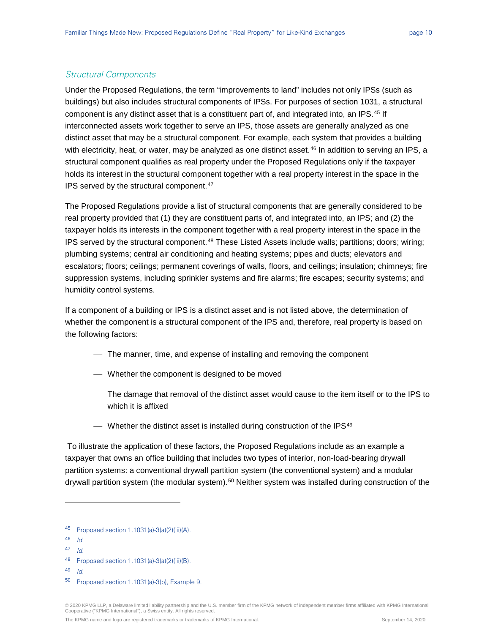#### Structural Components

Under the Proposed Regulations, the term "improvements to land" includes not only IPSs (such as buildings) but also includes structural components of IPSs. For purposes of section 1031, a structural component is any distinct asset that is a constituent part of, and integrated into, an IPS.[45](#page-9-0) If interconnected assets work together to serve an IPS, those assets are generally analyzed as one distinct asset that may be a structural component. For example, each system that provides a building with electricity, heat, or water, may be analyzed as one distinct asset.<sup>[46](#page-9-1)</sup> In addition to serving an IPS, a structural component qualifies as real property under the Proposed Regulations only if the taxpayer holds its interest in the structural component together with a real property interest in the space in the IPS served by the structural component.<sup>[47](#page-9-2)</sup>

The Proposed Regulations provide a list of structural components that are generally considered to be real property provided that (1) they are constituent parts of, and integrated into, an IPS; and (2) the taxpayer holds its interests in the component together with a real property interest in the space in the IPS served by the structural component.<sup>[48](#page-9-3)</sup> These Listed Assets include walls; partitions; doors; wiring; plumbing systems; central air conditioning and heating systems; pipes and ducts; elevators and escalators; floors; ceilings; permanent coverings of walls, floors, and ceilings; insulation; chimneys; fire suppression systems, including sprinkler systems and fire alarms; fire escapes; security systems; and humidity control systems.

If a component of a building or IPS is a distinct asset and is not listed above, the determination of whether the component is a structural component of the IPS and, therefore, real property is based on the following factors:

- The manner, time, and expense of installing and removing the component
- Whether the component is designed to be moved
- The damage that removal of the distinct asset would cause to the item itself or to the IPS to which it is affixed
- $-$  Whether the distinct asset is installed during construction of the IPS<sup>[49](#page-9-4)</sup>

To illustrate the application of these factors, the Proposed Regulations include as an example a taxpayer that owns an office building that includes two types of interior, non-load-bearing drywall partition systems: a conventional drywall partition system (the conventional system) and a modular drywall partition system (the modular system).<sup>[50](#page-9-5)</sup> Neither system was installed during construction of the

<span id="page-9-1"></span><sup>46</sup> Id.

-

<span id="page-9-2"></span> $47$  Id.

<span id="page-9-5"></span><span id="page-9-4"></span><sup>49</sup> Id.

© 2020 KPMG LLP, a Delaware limited liability partnership and the U.S. member firm of the KPMG network of independent member firms affiliated with KPMG International<br>Cooperative ("KPMG International"), a Swiss entity. All

<span id="page-9-0"></span><sup>45</sup> Proposed section 1.1031(a)-3(a)(2)(iii)(A).

<span id="page-9-3"></span><sup>48</sup> Proposed section 1.1031(a)-3(a)(2)(iii)(B).

<sup>50</sup> Proposed section 1.1031(a)-3(b), Example 9.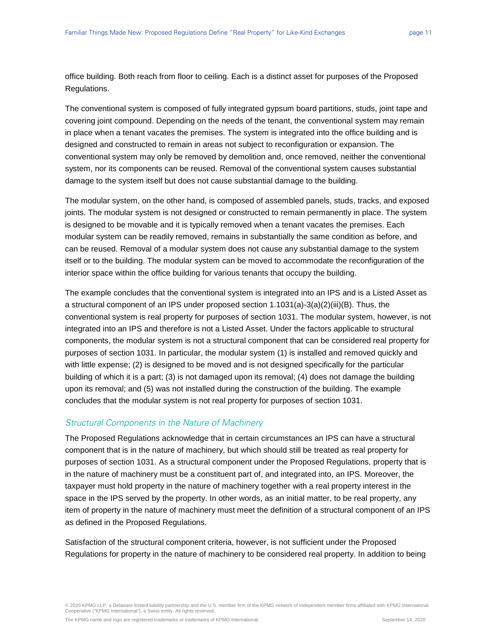office building. Both reach from floor to ceiling. Each is a distinct asset for purposes of the Proposed Regulations.

The conventional system is composed of fully integrated gypsum board partitions, studs, joint tape and covering joint compound. Depending on the needs of the tenant, the conventional system may remain in place when a tenant vacates the premises. The system is integrated into the office building and is designed and constructed to remain in areas not subject to reconfiguration or expansion. The conventional system may only be removed by demolition and, once removed, neither the conventional system, nor its components can be reused. Removal of the conventional system causes substantial damage to the system itself but does not cause substantial damage to the building.

The modular system, on the other hand, is composed of assembled panels, studs, tracks, and exposed joints. The modular system is not designed or constructed to remain permanently in place. The system is designed to be movable and it is typically removed when a tenant vacates the premises. Each modular system can be readily removed, remains in substantially the same condition as before, and can be reused. Removal of a modular system does not cause any substantial damage to the system itself or to the building. The modular system can be moved to accommodate the reconfiguration of the interior space within the office building for various tenants that occupy the building.

The example concludes that the conventional system is integrated into an IPS and is a Listed Asset as a structural component of an IPS under proposed section 1.1031(a)-3(a)(2)(iii)(B). Thus, the conventional system is real property for purposes of section 1031. The modular system, however, is not integrated into an IPS and therefore is not a Listed Asset. Under the factors applicable to structural components, the modular system is not a structural component that can be considered real property for purposes of section 1031. In particular, the modular system (1) is installed and removed quickly and with little expense; (2) is designed to be moved and is not designed specifically for the particular building of which it is a part; (3) is not damaged upon its removal; (4) does not damage the building upon its removal; and (5) was not installed during the construction of the building. The example concludes that the modular system is not real property for purposes of section 1031.

#### Structural Components in the Nature of Machinery

The Proposed Regulations acknowledge that in certain circumstances an IPS can have a structural component that is in the nature of machinery, but which should still be treated as real property for purposes of section 1031. As a structural component under the Proposed Regulations, property that is in the nature of machinery must be a constituent part of, and integrated into, an IPS. Moreover, the taxpayer must hold property in the nature of machinery together with a real property interest in the space in the IPS served by the property. In other words, as an initial matter, to be real property, any item of property in the nature of machinery must meet the definition of a structural component of an IPS as defined in the Proposed Regulations.

Satisfaction of the structural component criteria, however, is not sufficient under the Proposed Regulations for property in the nature of machinery to be considered real property. In addition to being

© 2020 KPMG LLP, a Delaware limited liability partnership and the U.S. member firm of the KPMG network of independent member firms affiliated with KPMG International<br>Cooperative ("KPMG International"), a Swiss entity. All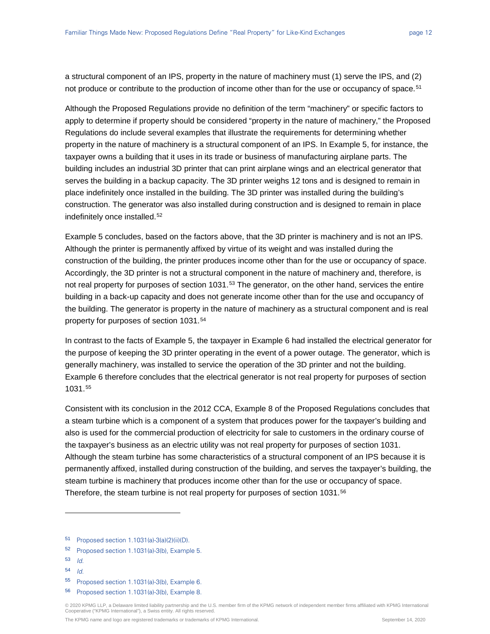a structural component of an IPS, property in the nature of machinery must (1) serve the IPS, and (2) not produce or contribute to the production of income other than for the use or occupancy of space.<sup>[51](#page-11-0)</sup>

Although the Proposed Regulations provide no definition of the term "machinery" or specific factors to apply to determine if property should be considered "property in the nature of machinery," the Proposed Regulations do include several examples that illustrate the requirements for determining whether property in the nature of machinery is a structural component of an IPS. In Example 5, for instance, the taxpayer owns a building that it uses in its trade or business of manufacturing airplane parts. The building includes an industrial 3D printer that can print airplane wings and an electrical generator that serves the building in a backup capacity. The 3D printer weighs 12 tons and is designed to remain in place indefinitely once installed in the building. The 3D printer was installed during the building's construction. The generator was also installed during construction and is designed to remain in place indefinitely once installed.[52](#page-11-1)

Example 5 concludes, based on the factors above, that the 3D printer is machinery and is not an IPS. Although the printer is permanently affixed by virtue of its weight and was installed during the construction of the building, the printer produces income other than for the use or occupancy of space. Accordingly, the 3D printer is not a structural component in the nature of machinery and, therefore, is not real property for purposes of section  $1031$ .<sup>[53](#page-11-2)</sup> The generator, on the other hand, services the entire building in a back-up capacity and does not generate income other than for the use and occupancy of the building. The generator is property in the nature of machinery as a structural component and is real property for purposes of section 1031.[54](#page-11-3)

In contrast to the facts of Example 5, the taxpayer in Example 6 had installed the electrical generator for the purpose of keeping the 3D printer operating in the event of a power outage. The generator, which is generally machinery, was installed to service the operation of the 3D printer and not the building. Example 6 therefore concludes that the electrical generator is not real property for purposes of section 1031.[55](#page-11-4)

Consistent with its conclusion in the 2012 CCA, Example 8 of the Proposed Regulations concludes that a steam turbine which is a component of a system that produces power for the taxpayer's building and also is used for the commercial production of electricity for sale to customers in the ordinary course of the taxpayer's business as an electric utility was not real property for purposes of section 1031. Although the steam turbine has some characteristics of a structural component of an IPS because it is permanently affixed, installed during construction of the building, and serves the taxpayer's building, the steam turbine is machinery that produces income other than for the use or occupancy of space. Therefore, the steam turbine is not real property for purposes of section 1031.<sup>[56](#page-11-5)</sup>

<span id="page-11-2"></span>53  $\overline{1}$   $\overline{1}$ 

-

- <span id="page-11-3"></span> $54$  Id.
- <span id="page-11-4"></span><sup>55</sup> Proposed section 1.1031(a)-3(b), Example 6.
- <span id="page-11-5"></span><sup>56</sup> Proposed section 1.1031(a)-3(b), Example 8.

<span id="page-11-0"></span><sup>51</sup> Proposed section 1.1031(a)-3(a)(2)(ii)(D).

<span id="page-11-1"></span><sup>52</sup> Proposed section 1.1031(a)-3(b), Example 5.

<sup>© 2020</sup> KPMG LLP, a Delaware limited liability partnership and the U.S. member firm of the KPMG network of independent member firms affiliated with KPMG International Cooperative ("KPMG International"), a Swiss entity. All rights reserved.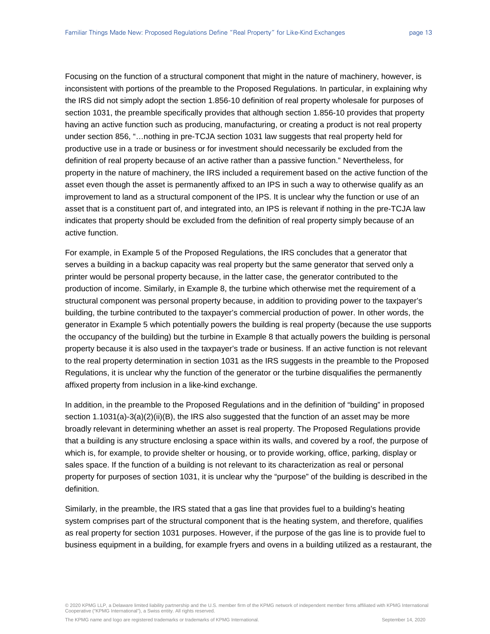Focusing on the function of a structural component that might in the nature of machinery, however, is inconsistent with portions of the preamble to the Proposed Regulations. In particular, in explaining why the IRS did not simply adopt the section 1.856-10 definition of real property wholesale for purposes of section 1031, the preamble specifically provides that although section 1.856-10 provides that property having an active function such as producing, manufacturing, or creating a product is not real property under section 856, "…nothing in pre-TCJA section 1031 law suggests that real property held for productive use in a trade or business or for investment should necessarily be excluded from the definition of real property because of an active rather than a passive function." Nevertheless, for property in the nature of machinery, the IRS included a requirement based on the active function of the asset even though the asset is permanently affixed to an IPS in such a way to otherwise qualify as an improvement to land as a structural component of the IPS. It is unclear why the function or use of an asset that is a constituent part of, and integrated into, an IPS is relevant if nothing in the pre-TCJA law indicates that property should be excluded from the definition of real property simply because of an active function.

For example, in Example 5 of the Proposed Regulations, the IRS concludes that a generator that serves a building in a backup capacity was real property but the same generator that served only a printer would be personal property because, in the latter case, the generator contributed to the production of income. Similarly, in Example 8, the turbine which otherwise met the requirement of a structural component was personal property because, in addition to providing power to the taxpayer's building, the turbine contributed to the taxpayer's commercial production of power. In other words, the generator in Example 5 which potentially powers the building is real property (because the use supports the occupancy of the building) but the turbine in Example 8 that actually powers the building is personal property because it is also used in the taxpayer's trade or business. If an active function is not relevant to the real property determination in section 1031 as the IRS suggests in the preamble to the Proposed Regulations, it is unclear why the function of the generator or the turbine disqualifies the permanently affixed property from inclusion in a like-kind exchange.

In addition, in the preamble to the Proposed Regulations and in the definition of "building" in proposed section 1.1031(a)-3(a)(2)(ii)(B), the IRS also suggested that the function of an asset may be more broadly relevant in determining whether an asset is real property. The Proposed Regulations provide that a building is any structure enclosing a space within its walls, and covered by a roof, the purpose of which is, for example, to provide shelter or housing, or to provide working, office, parking, display or sales space. If the function of a building is not relevant to its characterization as real or personal property for purposes of section 1031, it is unclear why the "purpose" of the building is described in the definition.

Similarly, in the preamble, the IRS stated that a gas line that provides fuel to a building's heating system comprises part of the structural component that is the heating system, and therefore, qualifies as real property for section 1031 purposes. However, if the purpose of the gas line is to provide fuel to business equipment in a building, for example fryers and ovens in a building utilized as a restaurant, the

© 2020 KPMG LLP, a Delaware limited liability partnership and the U.S. member firm of the KPMG network of independent member firms affiliated with KPMG International<br>Cooperative ("KPMG International"), a Swiss entity. All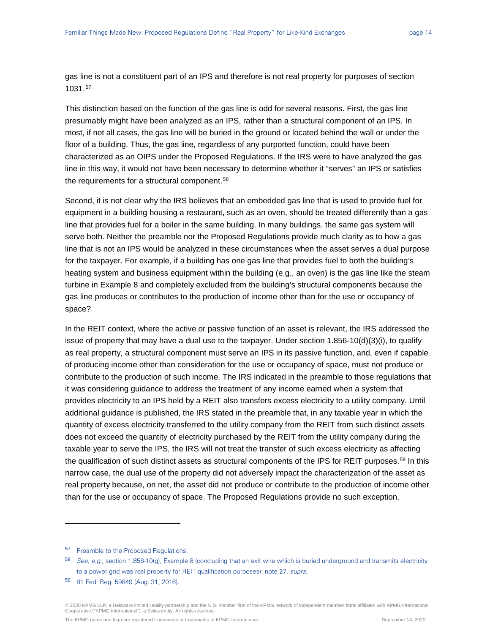gas line is not a constituent part of an IPS and therefore is not real property for purposes of section 1031.[57](#page-13-0)

This distinction based on the function of the gas line is odd for several reasons. First, the gas line presumably might have been analyzed as an IPS, rather than a structural component of an IPS. In most, if not all cases, the gas line will be buried in the ground or located behind the wall or under the floor of a building. Thus, the gas line, regardless of any purported function, could have been characterized as an OIPS under the Proposed Regulations. If the IRS were to have analyzed the gas line in this way, it would not have been necessary to determine whether it "serves" an IPS or satisfies the requirements for a structural component.<sup>[58](#page-13-1)</sup>

Second, it is not clear why the IRS believes that an embedded gas line that is used to provide fuel for equipment in a building housing a restaurant, such as an oven, should be treated differently than a gas line that provides fuel for a boiler in the same building. In many buildings, the same gas system will serve both. Neither the preamble nor the Proposed Regulations provide much clarity as to how a gas line that is not an IPS would be analyzed in these circumstances when the asset serves a dual purpose for the taxpayer. For example, if a building has one gas line that provides fuel to both the building's heating system and business equipment within the building (e.g., an oven) is the gas line like the steam turbine in Example 8 and completely excluded from the building's structural components because the gas line produces or contributes to the production of income other than for the use or occupancy of space?

In the REIT context, where the active or passive function of an asset is relevant, the IRS addressed the issue of property that may have a dual use to the taxpayer. Under section 1.856-10(d)(3)(i), to qualify as real property, a structural component must serve an IPS in its passive function, and, even if capable of producing income other than consideration for the use or occupancy of space, must not produce or contribute to the production of such income. The IRS indicated in the preamble to those regulations that it was considering guidance to address the treatment of any income earned when a system that provides electricity to an IPS held by a REIT also transfers excess electricity to a utility company. Until additional guidance is published, the IRS stated in the preamble that, in any taxable year in which the quantity of excess electricity transferred to the utility company from the REIT from such distinct assets does not exceed the quantity of electricity purchased by the REIT from the utility company during the taxable year to serve the IPS, the IRS will not treat the transfer of such excess electricity as affecting the qualification of such distinct assets as structural components of the IPS for REIT purposes.<sup>[59](#page-13-2)</sup> In this narrow case, the dual use of the property did not adversely impact the characterization of the asset as real property because, on net, the asset did not produce or contribute to the production of income other than for the use or occupancy of space. The Proposed Regulations provide no such exception.

-

<span id="page-13-0"></span><sup>57</sup> Preamble to the Proposed Regulations.

<span id="page-13-1"></span><sup>58</sup> See, e.g., section 1.856-10(g), Example 8 (concluding that an exit wire which is buried underground and transmits electricity to a power grid was real property for REIT qualification purposes); note 27, supra.

<span id="page-13-2"></span><sup>59</sup> 81 Fed. Reg. 59849 (Aug. 31, 2016).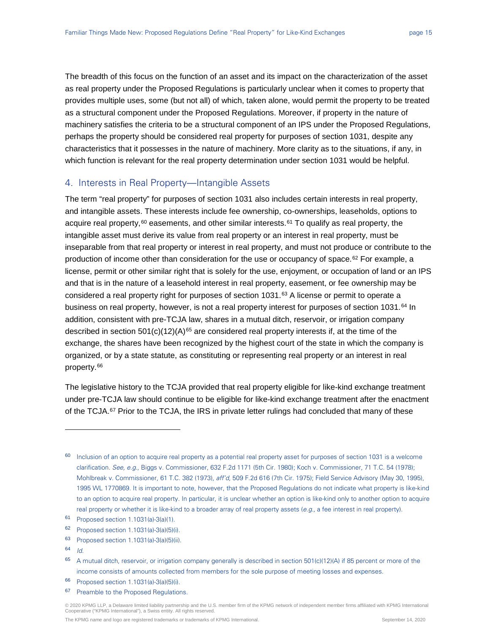The breadth of this focus on the function of an asset and its impact on the characterization of the asset as real property under the Proposed Regulations is particularly unclear when it comes to property that provides multiple uses, some (but not all) of which, taken alone, would permit the property to be treated as a structural component under the Proposed Regulations. Moreover, if property in the nature of machinery satisfies the criteria to be a structural component of an IPS under the Proposed Regulations, perhaps the property should be considered real property for purposes of section 1031, despite any characteristics that it possesses in the nature of machinery. More clarity as to the situations, if any, in which function is relevant for the real property determination under section 1031 would be helpful.

#### 4. Interests in Real Property—Intangible Assets

The term "real property" for purposes of section 1031 also includes certain interests in real property, and intangible assets. These interests include fee ownership, co-ownerships, leaseholds, options to acquire real property,<sup>[60](#page-14-0)</sup> easements, and other similar interests.<sup>[61](#page-14-1)</sup> To qualify as real property, the intangible asset must derive its value from real property or an interest in real property, must be inseparable from that real property or interest in real property, and must not produce or contribute to the production of income other than consideration for the use or occupancy of space.<sup>[62](#page-14-2)</sup> For example, a license, permit or other similar right that is solely for the use, enjoyment, or occupation of land or an IPS and that is in the nature of a leasehold interest in real property, easement, or fee ownership may be considered a real property right for purposes of section 1031.<sup>[63](#page-14-3)</sup> A license or permit to operate a business on real property, however, is not a real property interest for purposes of section 1031.<sup>[64](#page-14-4)</sup> In addition, consistent with pre-TCJA law, shares in a mutual ditch, reservoir, or irrigation company described in section 501(c)(12)(A)<sup>[65](#page-14-5)</sup> are considered real property interests if, at the time of the exchange, the shares have been recognized by the highest court of the state in which the company is organized, or by a state statute, as constituting or representing real property or an interest in real property.[66](#page-14-6)

The legislative history to the TCJA provided that real property eligible for like-kind exchange treatment under pre-TCJA law should continue to be eligible for like-kind exchange treatment after the enactment of the TCJA.<sup>[67](#page-14-7)</sup> Prior to the TCJA, the IRS in private letter rulings had concluded that many of these

-

<span id="page-14-7"></span><sup>67</sup> Preamble to the Proposed Regulations.

<span id="page-14-0"></span><sup>&</sup>lt;sup>60</sup> Inclusion of an option to acquire real property as a potential real property asset for purposes of section 1031 is a welcome clarification. See, e.g., Biggs v. Commissioner, 632 F.2d 1171 (5th Cir. 1980); Koch v. Commissioner, 71 T.C. 54 (1978); Mohlbreak v. Commissioner, 61 T.C. 382 (1973), aff'd, 509 F.2d 616 (7th Cir. 1975); Field Service Advisory (May 30, 1995), 1995 WL 1770869. It is important to note, however, that the Proposed Regulations do not indicate what property is like-kind to an option to acquire real property. In particular, it is unclear whether an option is like-kind only to another option to acquire real property or whether it is like-kind to a broader array of real property assets  $(e.g.,$  a fee interest in real property).

<span id="page-14-1"></span><sup>61</sup> Proposed section 1.1031(a)-3(a)(1).

<span id="page-14-2"></span><sup>62</sup> Proposed section 1.1031(a)-3(a)(5)(i).

<span id="page-14-3"></span><sup>63</sup> Proposed section 1.1031(a)-3(a)(5)(ii).

<span id="page-14-5"></span><span id="page-14-4"></span> $64$  *Id.* 

<sup>65</sup> A mutual ditch, reservoir, or irrigation company generally is described in section 501(c)(12)(A) if 85 percent or more of the income consists of amounts collected from members for the sole purpose of meeting losses and expenses.

<span id="page-14-6"></span><sup>66</sup> Proposed section 1.1031(a)-3(a)(5)(i).

<sup>© 2020</sup> KPMG LLP, a Delaware limited liability partnership and the U.S. member firm of the KPMG network of independent member firms affiliated with KPMG International Cooperative ("KPMG International"), a Swiss entity. All rights reserved.